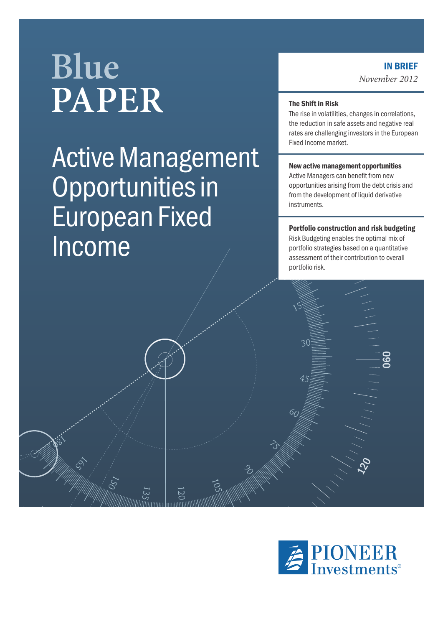# **Blue PAPER**

## Active Management Opportunities in European Fixed Income

#### IN BRIEF *November 2012*

#### The Shift in Risk

The rise in volatilities, changes in correlations, the reduction in safe assets and negative real rates are challenging investors in the European Fixed Income market.

#### New active management opportunities

Active Managers can benefit from new opportunities arising from the debt crisis and from the development of liquid derivative instruments.

#### Portfolio construction and risk budgeting

Risk Budgeting enables the optimal mix of portfolio strategies based on a quantitative assessment of their contribution to overall portfolio risk.

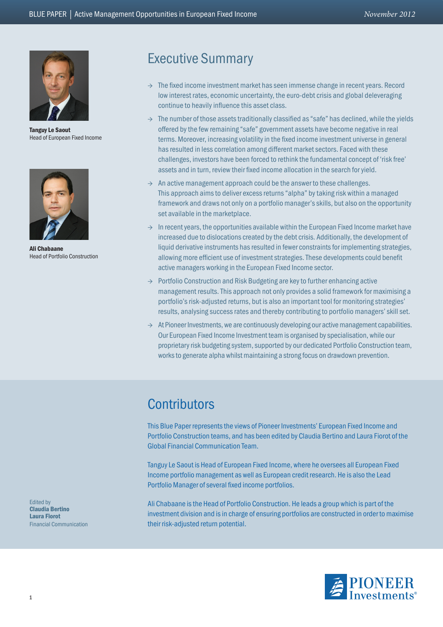

Tanguy Le Saout Head of European Fixed Income



Ali Chabaane Head of Portfolio Construction

## Executive Summary

- $\rightarrow$  The fixed income investment market has seen immense change in recent years. Record low interest rates, economic uncertainty, the euro-debt crisis and global deleveraging continue to heavily influence this asset class.
- $\rightarrow$  The number of those assets traditionally classified as "safe" has declined, while the yields offered by the few remaining "safe" government assets have become negative in real terms. Moreover, increasing volatility in the fixed income investment universe in general has resulted in less correlation among different market sectors. Faced with these challenges, investors have been forced to rethink the fundamental concept of 'risk free' assets and in turn, review their fixed income allocation in the search for yield.
- $\rightarrow$  An active management approach could be the answer to these challenges. This approach aims to deliver excess returns "alpha" by taking risk within a managed framework and draws not only on a portfolio manager's skills, but also on the opportunity set available in the marketplace.
- $\rightarrow$  In recent years, the opportunities available within the European Fixed Income market have increased due to dislocations created by the debt crisis. Additionally, the development of liquid derivative instruments has resulted in fewer constraints for implementing strategies, allowing more efficient use of investment strategies. These developments could benefit active managers working in the European Fixed Income sector.
- $\rightarrow$  Portfolio Construction and Risk Budgeting are key to further enhancing active management results. This approach not only provides a solid framework for maximising a portfolio's risk-adjusted returns, but is also an important tool for monitoring strategies' results, analysing success rates and thereby contributing to portfolio managers' skill set.
- $\rightarrow$  At Pioneer Investments, we are continuously developing our active management capabilities. Our European Fixed Income Investment team is organised by specialisation, while our proprietary risk budgeting system, supported by our dedicated Portfolio Construction team, works to generate alpha whilst maintaining a strong focus on drawdown prevention.

## **Contributors**

This Blue Paper represents the views of Pioneer Investments' European Fixed Income and Portfolio Construction teams, and has been edited by Claudia Bertino and Laura Fiorot of the Global Financial Communication Team.

Tanguy Le Saout is Head of European Fixed Income, where he oversees all European Fixed Income portfolio management as well as European credit research. He is also the Lead Portfolio Manager of several fixed income portfolios.

Ali Chabaane is the Head of Portfolio Construction. He leads a group which is part of the investment division and is in charge of ensuring portfolios are constructed in order to maximise their risk-adjusted return potential.



Edited by Claudia Bertino Laura Fiorot Financial Communication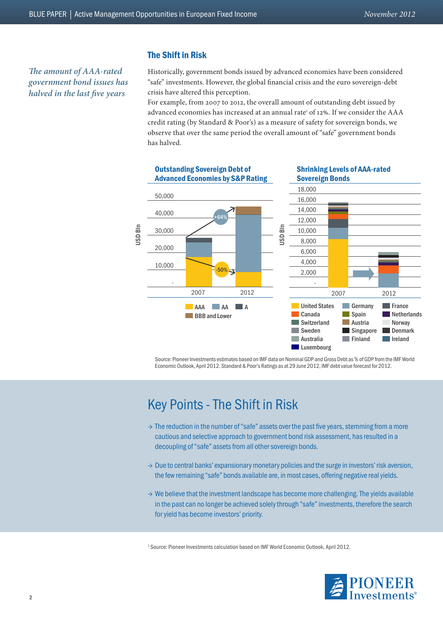*The amount of AAA-rated government bond issues has halved in the last five years*

#### The Shift in Risk

Historically, government bonds issued by advanced economies have been considered "safe" investments. However, the global financial crisis and the euro sovereign-debt crisis have altered this perception.

For example, from 2007 to 2012, the overall amount of outstanding debt issued by advanced economies has increased at an annual rate<sup>1</sup> of 12%. If we consider the AAA credit rating (by Standard & Poor's) as a measure of safety for sovereign bonds, we observe that over the same period the overall amount of "safe" government bonds has halved.



Source: Pioneer Investments estimates based on IMF data on Nominal GDP and Gross Debt as % of GDP from the IMF World Economic Outlook, April 2012. Standard & Poor's Ratings as at 29 June 2012, IMF debt value forecast for 2012.

## Key Points - The Shift in Risk

- $\rightarrow$  The reduction in the number of "safe" assets over the past five years, stemming from a more cautious and selective approach to government bond risk assessment, has resulted in a decoupling of "safe" assets from all other sovereign bonds.
- $\rightarrow$  Due to central banks' expansionary monetary policies and the surge in investors' risk aversion, the few remaining "safe" bonds available are, in most cases, offering negative real yields.
- $\rightarrow$  We believe that the investment landscape has become more challenging. The yields available in the past can no longer be achieved solely through "safe" investments, therefore the search for yield has become investors' priority.

<sup>1</sup> Source: Pioneer Investments calculation based on IMF World Economic Outlook, April 2012.

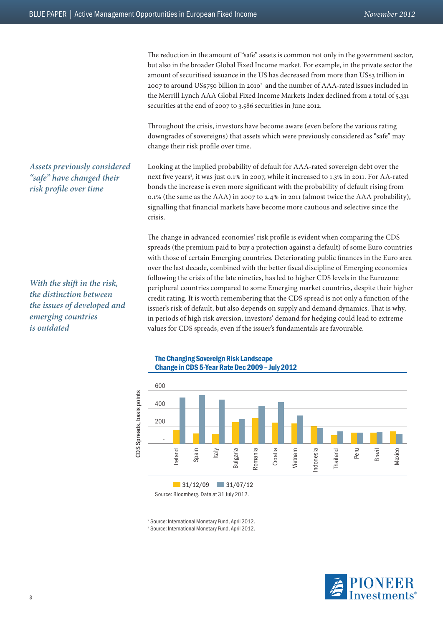The reduction in the amount of "safe" assets is common not only in the government sector, but also in the broader Global Fixed Income market. For example, in the private sector the amount of securitised issuance in the US has decreased from more than US\$3 trillion in 2007 to around US\$750 billion in 2010<sup>2</sup> and the number of AAA-rated issues included in the Merrill Lynch AAA Global Fixed Income Markets Index declined from a total of 5.331 securities at the end of 2007 to 3.586 securities in June 2012.

Throughout the crisis, investors have become aware (even before the various rating downgrades of sovereigns) that assets which were previously considered as "safe" may change their risk profile over time.

Looking at the implied probability of default for AAA-rated sovereign debt over the next five years<sup>3</sup>, it was just 0.1% in 2007, while it increased to 1.3% in 2011. For AA-rated bonds the increase is even more significant with the probability of default rising from 0.1% (the same as the AAA) in 2007 to 2.4% in 2011 (almost twice the AAA probability), signalling that financial markets have become more cautious and selective since the crisis.

The change in advanced economies' risk profile is evident when comparing the CDS spreads (the premium paid to buy a protection against a default) of some Euro countries with those of certain Emerging countries. Deteriorating public finances in the Euro area over the last decade, combined with the better fiscal discipline of Emerging economies following the crisis of the late nineties, has led to higher CDS levels in the Eurozone peripheral countries compared to some Emerging market countries, despite their higher credit rating. It is worth remembering that the CDS spread is not only a function of the issuer's risk of default, but also depends on supply and demand dynamics. That is why, in periods of high risk aversion, investors' demand for hedging could lead to extreme values for CDS spreads, even if the issuer's fundamentals are favourable.



*Assets previously considered "safe" have changed their risk profile over time*



The Changing Sovereign Risk Landscape

2 Source: International Monetary Fund, April 2012.

2 Source: International Monetary Fund, April 2012.



#### 3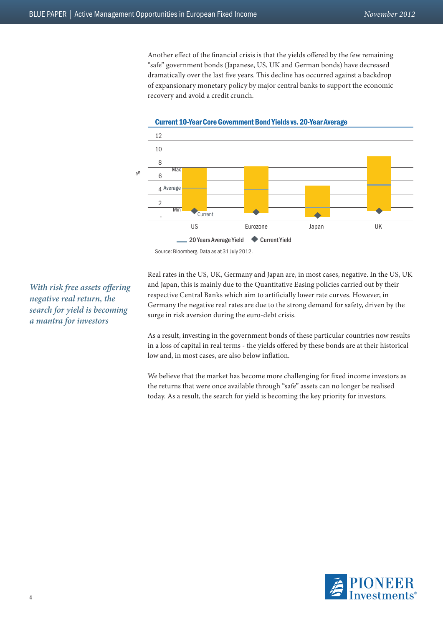Another effect of the financial crisis is that the yields offered by the few remaining "safe" government bonds (Japanese, US, UK and German bonds) have decreased dramatically over the last five years. This decline has occurred against a backdrop of expansionary monetary policy by major central banks to support the economic recovery and avoid a credit crunch.



Current 10-Year Core Government Bond Yields vs. 20-Year Average

*With risk free assets offering negative real return, the search for yield is becoming a mantra for investors*

Real rates in the US, UK, Germany and Japan are, in most cases, negative. In the US, UK and Japan, this is mainly due to the Quantitative Easing policies carried out by their respective Central Banks which aim to artificially lower rate curves. However, in Germany the negative real rates are due to the strong demand for safety, driven by the surge in risk aversion during the euro-debt crisis.

As a result, investing in the government bonds of these particular countries now results in a loss of capital in real terms - the yields offered by these bonds are at their historical low and, in most cases, are also below inflation.

We believe that the market has become more challenging for fixed income investors as the returns that were once available through "safe" assets can no longer be realised today. As a result, the search for yield is becoming the key priority for investors.



Source: Bloomberg. Data as at 31 July 2012.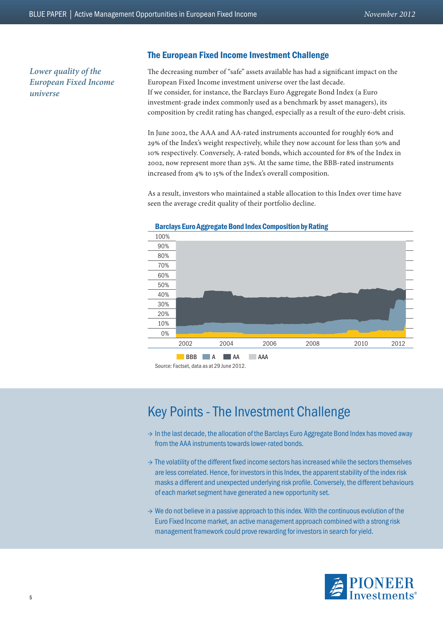*Lower quality of the European Fixed Income universe*

#### The European Fixed Income Investment Challenge

The decreasing number of "safe" assets available has had a significant impact on the European Fixed Income investment universe over the last decade. If we consider, for instance, the Barclays Euro Aggregate Bond Index (a Euro investment-grade index commonly used as a benchmark by asset managers), its composition by credit rating has changed, especially as a result of the euro-debt crisis.

In June 2002, the AAA and AA-rated instruments accounted for roughly 60% and 29% of the Index's weight respectively, while they now account for less than 50% and 10% respectively. Conversely, A-rated bonds, which accounted for 8% of the Index in 2002, now represent more than 25%. At the same time, the BBB-rated instruments increased from 4% to 15% of the Index's overall composition.

As a result, investors who maintained a stable allocation to this Index over time have seen the average credit quality of their portfolio decline.



## Key Points - The Investment Challenge

- → In the last decade, the allocation of the Barclays Euro Aggregate Bond Index has moved away from the AAA instruments towards lower-rated bonds.
- $\rightarrow$  The volatility of the different fixed income sectors has increased while the sectors themselves are less correlated. Hence, for investors in this Index, the apparent stability of the index risk masks a different and unexpected underlying risk profile. Conversely, the different behaviours of each market segment have generated a new opportunity set.
- $\rightarrow$  We do not believe in a passive approach to this index. With the continuous evolution of the Euro Fixed Income market, an active management approach combined with a strong risk management framework could prove rewarding for investors in search for yield.

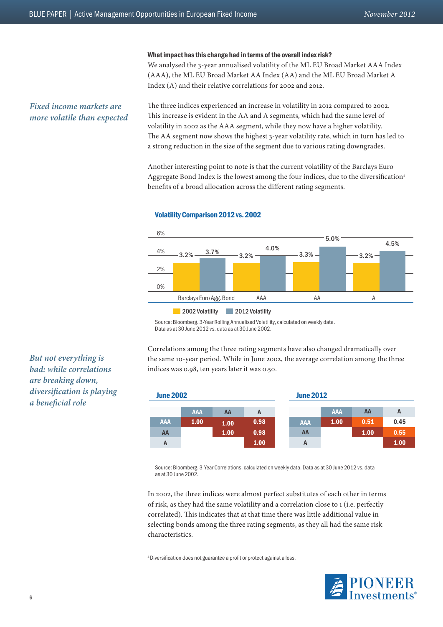#### What impact has this change had in terms of the overall index risk?

We analysed the 3-year annualised volatility of the ML EU Broad Market AAA Index (AAA), the ML EU Broad Market AA Index (AA) and the ML EU Broad Market A Index (A) and their relative correlations for 2002 and 2012.

#### *Fixed income markets are more volatile than expected*

The three indices experienced an increase in volatility in 2012 compared to 2002. This increase is evident in the AA and A segments, which had the same level of volatility in 2002 as the AAA segment, while they now have a higher volatility. The AA segment now shows the highest 3-year volatility rate, which in turn has led to a strong reduction in the size of the segment due to various rating downgrades.

Another interesting point to note is that the current volatility of the Barclays Euro Aggregate Bond Index is the lowest among the four indices, due to the diversification<sup>4</sup> benefits of a broad allocation across the different rating segments.





Source: Bloomberg. 3-Year Rolling Annualised Volatility, calculated on weekly data. Data as at 30 June 2012 vs. data as at 30 June 2002.

Correlations among the three rating segments have also changed dramatically over the same 10-year period. While in June 2002, the average correlation among the three indices was 0.98, ten years later it was 0.50.



Source: Bloomberg. 3-Year Correlations, calculated on weekly data. Data as at 30 June 2012 vs. data as at 30 June 2002.

In 2002, the three indices were almost perfect substitutes of each other in terms of risk, as they had the same volatility and a correlation close to 1 (i.e. perfectly correlated). This indicates that at that time there was little additional value in selecting bonds among the three rating segments, as they all had the same risk characteristics.

<sup>4</sup>Diversification does not guarantee a profit or protect against a loss.



*But not everything is bad: while correlations are breaking down, diversification is playing a beneficial role*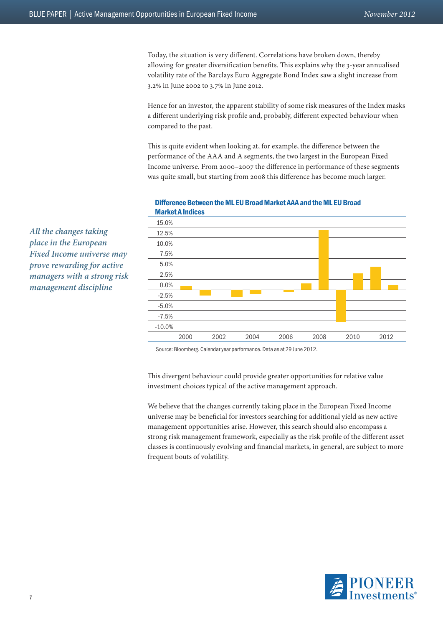Today, the situation is very different. Correlations have broken down, thereby allowing for greater diversification benefits. This explains why the 3-year annualised volatility rate of the Barclays Euro Aggregate Bond Index saw a slight increase from 3.2% in June 2002 to 3.7% in June 2012.

Hence for an investor, the apparent stability of some risk measures of the Index masks a different underlying risk profile and, probably, different expected behaviour when compared to the past.

This is quite evident when looking at, for example, the difference between the performance of the AAA and A segments, the two largest in the European Fixed Income universe. From 2000–2007 the difference in performance of these segments was quite small, but starting from 2008 this difference has become much larger.



#### Difference Between the ML EU Broad Market AAA and the ML EU Broad Market A Indices

Source: Bloomberg. Calendar year performance. Data as at 29 June 2012.

This divergent behaviour could provide greater opportunities for relative value investment choices typical of the active management approach.

We believe that the changes currently taking place in the European Fixed Income universe may be beneficial for investors searching for additional yield as new active management opportunities arise. However, this search should also encompass a strong risk management framework, especially as the risk profile of the different asset classes is continuously evolving and financial markets, in general, are subject to more frequent bouts of volatility.



*All the changes taking place in the European Fixed Income universe may prove rewarding for active managers with a strong risk management discipline*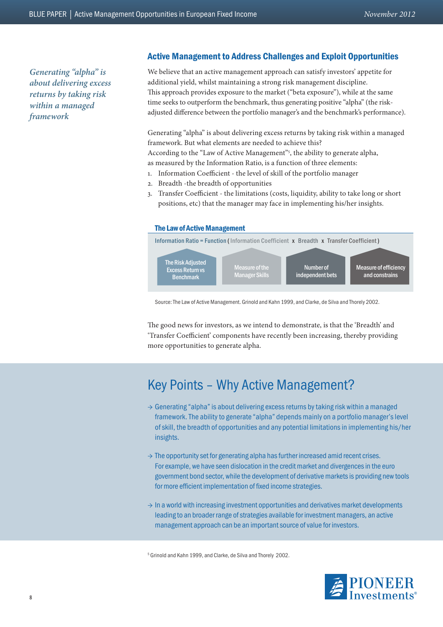*Generating "alpha" is about delivering excess returns by taking risk within a managed framework*

#### Active Management to Address Challenges and Exploit Opportunities

We believe that an active management approach can satisfy investors' appetite for additional yield, whilst maintaining a strong risk management discipline. This approach provides exposure to the market ("beta exposure"), while at the same time seeks to outperform the benchmark, thus generating positive "alpha" (the riskadjusted difference between the portfolio manager's and the benchmark's performance).

Generating "alpha" is about delivering excess returns by taking risk within a managed framework. But what elements are needed to achieve this? According to the "Law of Active Management"<sup>5</sup>, the ability to generate alpha, as measured by the Information Ratio, is a function of three elements:

- 1. Information Coefficient the level of skill of the portfolio manager
- 2. Breadth -the breadth of opportunities
- 3. Transfer Coefficient the limitations (costs, liquidity, ability to take long or short positions, etc) that the manager may face in implementing his/her insights.



Source: The Law of Active Management. Grinold and Kahn 1999, and Clarke, de Silva and Thorely 2002.

The good news for investors, as we intend to demonstrate, is that the 'Breadth' and 'Transfer Coefficient' components have recently been increasing, thereby providing more opportunities to generate alpha.

## Key Points – Why Active Management?

- $\rightarrow$  Generating "alpha" is about delivering excess returns by taking risk within a managed framework. The ability to generate "alpha" depends mainly on a portfolio manager's level of skill, the breadth of opportunities and any potential limitations in implementing his/her insights.
- $\rightarrow$  The opportunity set for generating alpha has further increased amid recent crises. For example, we have seen dislocation in the credit market and divergences in the euro government bond sector, while the development of derivative markets is providing new tools for more efficient implementation of fixed income strategies.
- $\rightarrow$  In a world with increasing investment opportunities and derivatives market developments leading to an broader range of strategies available for investment managers, an active management approach can be an important source of value for investors.

5 Grinold and Kahn 1999, and Clarke, de Silva and Thorely 2002.

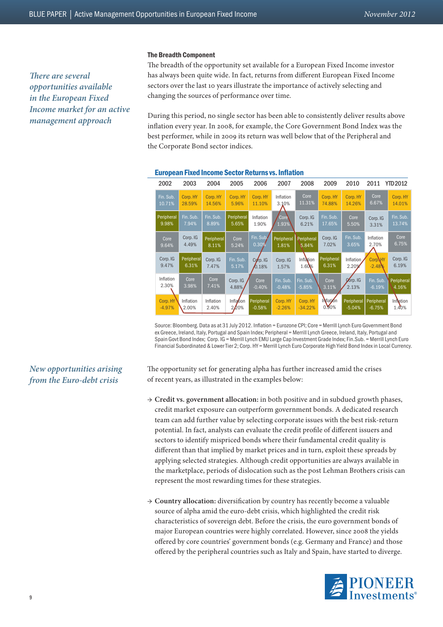#### The Breadth Component

The breadth of the opportunity set available for a European Fixed Income investor has always been quite wide. In fact, returns from different European Fixed Income sectors over the last 10 years illustrate the importance of actively selecting and changing the sources of performance over time.

During this period, no single sector has been able to consistently deliver results above inflation every year. In 2008, for example, the Core Government Bond Index was the best performer, while in 2009 its return was well below that of the Peripheral and the Corporate Bond sector indices.



#### European Fixed Income Sector Returns vs. Inflation

Source: Bloomberg. Data as at 31 July 2012. Inflation = Eurozone CPI; Core = Merrill Lynch Euro Government Bond ex Greece, Ireland, Italy, Portugal and Spain Index; Peripheral = Merrill Lynch Greece, Ireland, Italy, Portugal and Spain Govt Bond Index; Corp. IG = Merrill Lynch EMU Large Cap Investment Grade Index; Fin.Sub. = Merrill Lynch Euro Financial Subordinated & Lower Tier 2; Corp. HY = Merrill Lynch Euro Corporate High Yield Bond Index in Local Currency.

#### The opportunity set for generating alpha has further increased amid the crises of recent years, as illustrated in the examples below:

- → **Credit vs. government allocation:** in both positive and in subdued growth phases, credit market exposure can outperform government bonds. A dedicated research team can add further value by selecting corporate issues with the best risk-return potential. In fact, analysts can evaluate the credit profile of different issuers and sectors to identify mispriced bonds where their fundamental credit quality is different than that implied by market prices and in turn, exploit these spreads by applying selected strategies. Although credit opportunities are always available in the marketplace, periods of dislocation such as the post Lehman Brothers crisis can represent the most rewarding times for these strategies.
- → **Country allocation:** diversification by country has recently become a valuable source of alpha amid the euro-debt crisis, which highlighted the credit risk characteristics of sovereign debt. Before the crisis, the euro government bonds of major European countries were highly correlated. However, since 2008 the yields offered by core countries' government bonds (e.g. Germany and France) and those offered by the peripheral countries such as Italy and Spain, have started to diverge.



#### *There are several opportunities available in the European Fixed Income market for an active management approach*

*New opportunities arising from the Euro-debt crisis*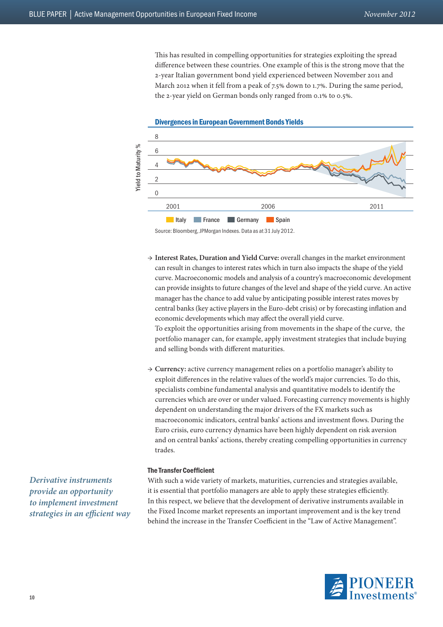This has resulted in compelling opportunities for strategies exploiting the spread difference between these countries. One example of this is the strong move that the 2-year Italian government bond yield experienced between November 2011 and March 2012 when it fell from a peak of 7.5% down to 1.7%. During the same period, the 2-year yield on German bonds only ranged from 0.1% to 0.5%.



Source: Bloomberg, JPMorgan Indexes. Data as at 31 July 2012.

- → **Interest Rates, Duration and Yield Curve:** overall changes in the market environment can result in changes to interest rates which in turn also impacts the shape of the yield curve. Macroeconomic models and analysis of a country's macroeconomic development can provide insights to future changes of the level and shape of the yield curve. An active manager has the chance to add value by anticipating possible interest rates moves by central banks (key active players in the Euro-debt crisis) or by forecasting inflation and economic developments which may affect the overall yield curve. To exploit the opportunities arising from movements in the shape of the curve, the portfolio manager can, for example, apply investment strategies that include buying and selling bonds with different maturities.
- → **Currency:** active currency management relies on a portfolio manager's ability to exploit differences in the relative values of the world's major currencies. To do this, specialists combine fundamental analysis and quantitative models to identify the currencies which are over or under valued. Forecasting currency movements is highly dependent on understanding the major drivers of the FX markets such as macroeconomic indicators, central banks' actions and investment flows. During the Euro crisis, euro currency dynamics have been highly dependent on risk aversion and on central banks' actions, thereby creating compelling opportunities in currency trades.

#### The Transfer Coefficient

*Derivative instruments provide an opportunity to implement investment strategies in an efficient way* With such a wide variety of markets, maturities, currencies and strategies available, it is essential that portfolio managers are able to apply these strategies efficiently. In this respect, we believe that the development of derivative instruments available in the Fixed Income market represents an important improvement and is the key trend behind the increase in the Transfer Coefficient in the "Law of Active Management".

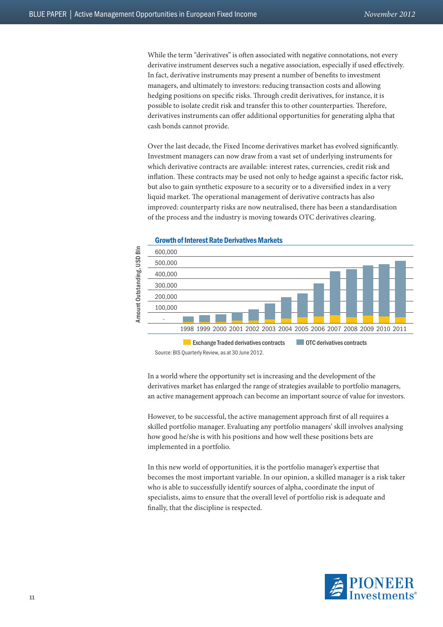While the term "derivatives" is often associated with negative connotations, not every derivative instrument deserves such a negative association, especially if used effectively. In fact, derivative instruments may present a number of benefits to investment managers, and ultimately to investors: reducing transaction costs and allowing hedging positions on specific risks. Through credit derivatives, for instance, it is possible to isolate credit risk and transfer this to other counterparties. Therefore, derivatives instruments can offer additional opportunities for generating alpha that cash bonds cannot provide.

Over the last decade, the Fixed Income derivatives market has evolved significantly. Investment managers can now draw from a vast set of underlying instruments for which derivative contracts are available: interest rates, currencies, credit risk and inflation. These contracts may be used not only to hedge against a specific factor risk, but also to gain synthetic exposure to a security or to a diversified index in a very liquid market. The operational management of derivative contracts has also improved: counterparty risks are now neutralised, there has been a standardisation of the process and the industry is moving towards OTC derivatives clearing.



#### Growth of Interest Rate Derivatives Markets

Source: BIS Quarterly Review, as at 30 June 2012.

In a world where the opportunity set is increasing and the development of the derivatives market has enlarged the range of strategies available to portfolio managers, an active management approach can become an important source of value for investors.

However, to be successful, the active management approach first of all requires a skilled portfolio manager. Evaluating any portfolio managers' skill involves analysing how good he/she is with his positions and how well these positions bets are implemented in a portfolio.

In this new world of opportunities, it is the portfolio manager's expertise that becomes the most important variable. In our opinion, a skilled manager is a risk taker who is able to successfully identify sources of alpha, coordinate the input of specialists, aims to ensure that the overall level of portfolio risk is adequate and finally, that the discipline is respected.

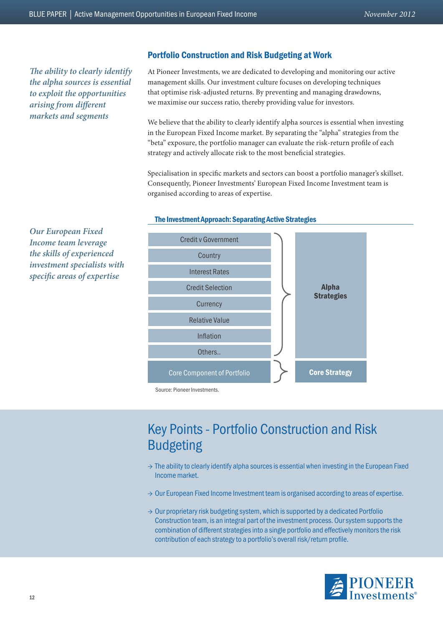*The ability to clearly identify the alpha sources is essential to exploit the opportunities arising from different markets and segments*

#### Portfolio Construction and Risk Budgeting at Work

At Pioneer Investments, we are dedicated to developing and monitoring our active management skills. Our investment culture focuses on developing techniques that optimise risk-adjusted returns. By preventing and managing drawdowns, we maximise our success ratio, thereby providing value for investors.

We believe that the ability to clearly identify alpha sources is essential when investing in the European Fixed Income market. By separating the "alpha" strategies from the "beta" exposure, the portfolio manager can evaluate the risk-return profile of each strategy and actively allocate risk to the most beneficial strategies.

Specialisation in specific markets and sectors can boost a portfolio manager's skillset. Consequently, Pioneer Investments' European Fixed Income Investment team is organised according to areas of expertise.



#### The Investment Approach: Separating Active Strategies

Key Points - Portfolio Construction and Risk Budgeting

- $\rightarrow$  The ability to clearly identify alpha sources is essential when investing in the European Fixed Income market.
- $\rightarrow$  Our European Fixed Income Investment team is organised according to areas of expertise.
- $\rightarrow$  Our proprietary risk budgeting system, which is supported by a dedicated Portfolio Construction team, is an integral part of the investment process. Our system supports the combination of different strategies into a single portfolio and effectively monitors the risk contribution of each strategy to a portfolio's overall risk/return profile.



*Our European Fixed Income team leverage the skills of experienced investment specialists with specific areas of expertise*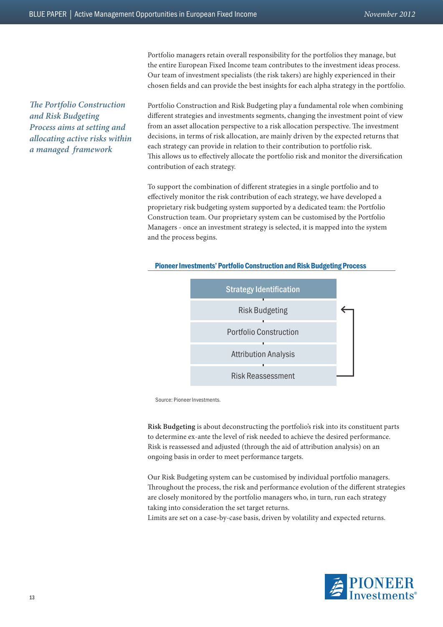Our team of investment specialists (the risk takers) are highly experienced in their chosen fields and can provide the best insights for each alpha strategy in the portfolio. *The Portfolio Construction and Risk Budgeting* 

*Process aims at setting and allocating active risks within a managed framework* 

Portfolio Construction and Risk Budgeting play a fundamental role when combining different strategies and investments segments, changing the investment point of view from an asset allocation perspective to a risk allocation perspective. The investment decisions, in terms of risk allocation, are mainly driven by the expected returns that each strategy can provide in relation to their contribution to portfolio risk. This allows us to effectively allocate the portfolio risk and monitor the diversification contribution of each strategy.

Portfolio managers retain overall responsibility for the portfolios they manage, but the entire European Fixed Income team contributes to the investment ideas process.

To support the combination of different strategies in a single portfolio and to effectively monitor the risk contribution of each strategy, we have developed a proprietary risk budgeting system supported by a dedicated team: the Portfolio Construction team. Our proprietary system can be customised by the Portfolio Managers - once an investment strategy is selected, it is mapped into the system and the process begins.



#### Pioneer Investments' Portfolio Construction and Risk Budgeting Process

Source: Pioneer Investments.

**Risk Budgeting** is about deconstructing the portfolio's risk into its constituent parts to determine ex-ante the level of risk needed to achieve the desired performance. Risk is reassessed and adjusted (through the aid of attribution analysis) on an ongoing basis in order to meet performance targets.

Our Risk Budgeting system can be customised by individual portfolio managers. Throughout the process, the risk and performance evolution of the different strategies are closely monitored by the portfolio managers who, in turn, run each strategy taking into consideration the set target returns.

Limits are set on a case-by-case basis, driven by volatility and expected returns.

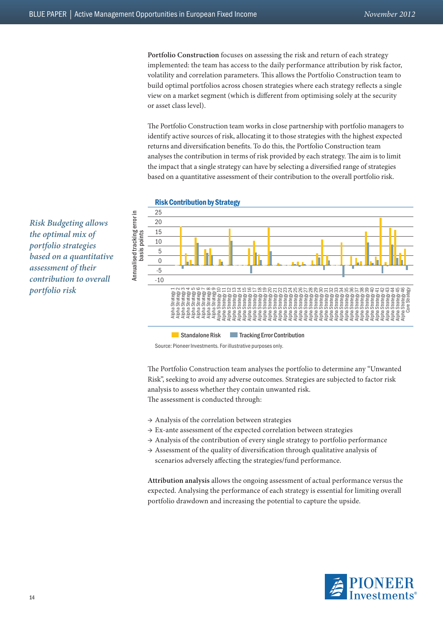**Portfolio Construction** focuses on assessing the risk and return of each strategy implemented: the team has access to the daily performance attribution by risk factor, volatility and correlation parameters. This allows the Portfolio Construction team to build optimal portfolios across chosen strategies where each strategy reflects a single view on a market segment (which is different from optimising solely at the security or asset class level).

The Portfolio Construction team works in close partnership with portfolio managers to identify active sources of risk, allocating it to those strategies with the highest expected returns and diversification benefits. To do this, the Portfolio Construction team analyses the contribution in terms of risk provided by each strategy. The aim is to limit the impact that a single strategy can have by selecting a diversified range of strategies based on a quantitative assessment of their contribution to the overall portfolio risk.



Source: Pioneer Investments. For illustrative purposes only.

The Portfolio Construction team analyses the portfolio to determine any "Unwanted Risk", seeking to avoid any adverse outcomes. Strategies are subjected to factor risk analysis to assess whether they contain unwanted risk. The assessment is conducted through:

- $\rightarrow$  Analysis of the correlation between strategies
- $\rightarrow$  Ex-ante assessment of the expected correlation between strategies
- $\rightarrow$  Analysis of the contribution of every single strategy to portfolio performance
- $\rightarrow$  Assessment of the quality of diversification through qualitative analysis of scenarios adversely affecting the strategies/fund performance.

**Attribution analysis** allows the ongoing assessment of actual performance versus the expected. Analysing the performance of each strategy is essential for limiting overall portfolio drawdown and increasing the potential to capture the upside.



*Risk Budgeting allows the optimal mix of portfolio strategies based on a quantitative assessment of their contribution to overall portfolio risk*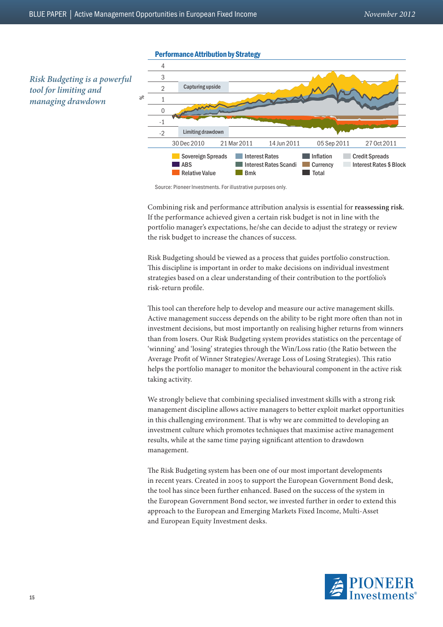

#### Performance Attribution by Strategy

Source: Pioneer Investments. For illustrative purposes only.

Combining risk and performance attribution analysis is essential for **reassessing risk**. If the performance achieved given a certain risk budget is not in line with the portfolio manager's expectations, he/she can decide to adjust the strategy or review the risk budget to increase the chances of success.

Risk Budgeting should be viewed as a process that guides portfolio construction. This discipline is important in order to make decisions on individual investment strategies based on a clear understanding of their contribution to the portfolio's risk-return profile.

This tool can therefore help to develop and measure our active management skills. Active management success depends on the ability to be right more often than not in investment decisions, but most importantly on realising higher returns from winners than from losers. Our Risk Budgeting system provides statistics on the percentage of 'winning' and 'losing' strategies through the Win/Loss ratio (the Ratio between the Average Profit of Winner Strategies/Average Loss of Losing Strategies). This ratio helps the portfolio manager to monitor the behavioural component in the active risk taking activity.

We strongly believe that combining specialised investment skills with a strong risk management discipline allows active managers to better exploit market opportunities in this challenging environment. That is why we are committed to developing an investment culture which promotes techniques that maximise active management results, while at the same time paying significant attention to drawdown management.

The Risk Budgeting system has been one of our most important developments in recent years. Created in 2005 to support the European Government Bond desk, the tool has since been further enhanced. Based on the success of the system in the European Government Bond sector, we invested further in order to extend this approach to the European and Emerging Markets Fixed Income, Multi-Asset and European Equity Investment desks.

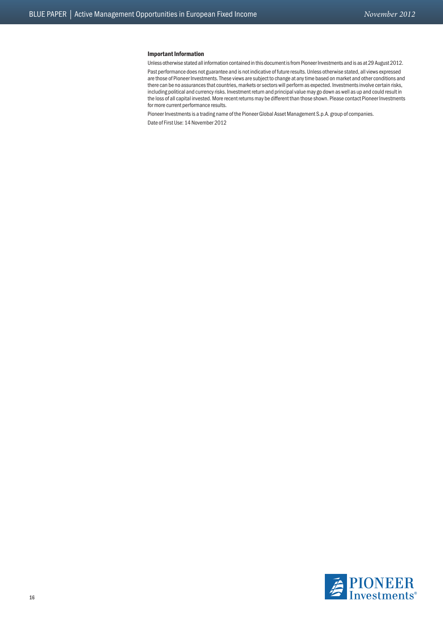#### Important Information

Unless otherwise stated all information contained in this document is from Pioneer Investments and is as at 29 August 2012.

Past performance does not guarantee and is not indicative of future results. Unless otherwise stated, all views expressed are those of Pioneer Investments. These views are subject to change at any time based on market and other conditions and there can be no assurances that countries, markets or sectors will perform as expected. Investments involve certain risks, including political and currency risks. Investment return and principal value may go down as well as up and could result in the loss of all capital invested. More recent returns may be different than those shown. Please contact Pioneer Investments for more current performance results.

Pioneer Investments is a trading name of the Pioneer Global Asset Management S.p.A. group of companies.

Date of First Use: 14 November 2012